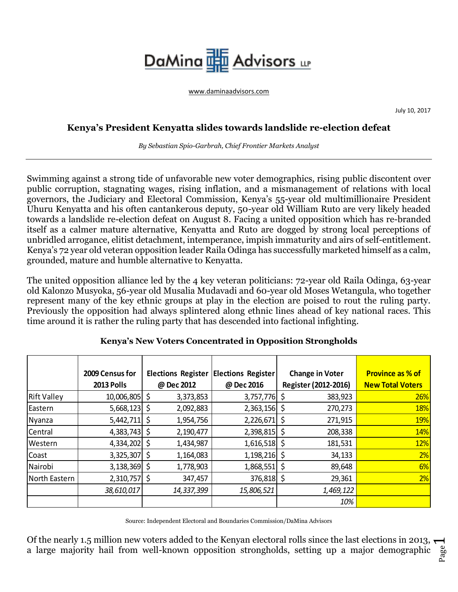## DaMina Ha Advisors up

[www.daminaadvisors.com](http://www.daminaadvisors.com/)

July 10, 2017

## **Kenya's President Kenyatta slides towards landslide re-election defeat**

*By Sebastian Spio-Garbrah, Chief Frontier Markets Analyst*

Swimming against a strong tide of unfavorable new voter demographics, rising public discontent over public corruption, stagnating wages, rising inflation, and a mismanagement of relations with local governors, the Judiciary and Electoral Commission, Kenya's 55-year old multimillionaire President Uhuru Kenyatta and his often cantankerous deputy, 50-year old William Ruto are very likely headed towards a landslide re-election defeat on August 8. Facing a united opposition which has re-branded itself as a calmer mature alternative, Kenyatta and Ruto are dogged by strong local perceptions of unbridled arrogance, elitist detachment, intemperance, impish immaturity and airs of self-entitlement. Kenya's 72 year old veteran opposition leader Raila Odinga has successfully marketed himself as a calm, grounded, mature and humble alternative to Kenyatta.

The united opposition alliance led by the 4 key veteran politicians: 72-year old Raila Odinga, 63-year old Kalonzo Musyoka, 56-year old Musalia Mudavadi and 60-year old Moses Wetangula, who together represent many of the key ethnic groups at play in the election are poised to rout the ruling party. Previously the opposition had always splintered along ethnic lines ahead of key national races. This time around it is rather the ruling party that has descended into factional infighting.

|                    | 2009 Census for |            | Elections Register Elections Register |     | <b>Change in Voter</b> | <b>Province as % of</b> |
|--------------------|-----------------|------------|---------------------------------------|-----|------------------------|-------------------------|
|                    | 2013 Polls      | @ Dec 2012 | @ Dec 2016                            |     | Register (2012-2016)   | <b>New Total Voters</b> |
| <b>Rift Valley</b> | 10,006,805 \$   | 3,373,853  | 3,757,776                             |     | 383,923                | 26%                     |
| Eastern            | $5,668,123$ \$  | 2,092,883  | $2,363,156$ \$                        |     | 270,273                | <b>18%</b>              |
| Nyanza             | $5,442,711$ \$  | 1,954,756  | 2,226,671                             | -S  | 271,915                | <b>19%</b>              |
| Central            | $4,383,743$ \$  | 2,190,477  | 2,398,815                             | -S  | 208,338                | 14%                     |
| Western            | 4,334,202 \$    | 1,434,987  | $1,616,518$ \$                        |     | 181,531                | 12%                     |
| Coast              | 3,325,307 \$    | 1,164,083  | $1,198,216$ \$                        |     | 34,133                 | 2%                      |
| Nairobi            | $3,138,369$ \$  | 1,778,903  | 1,868,551                             | \$, | 89,648                 | 6%                      |
| North Eastern      | $2,310,757$ \$  | 347,457    | 376,818 \$                            |     | 29,361                 | 2%                      |
|                    | 38,610,017      | 14,337,399 | 15,806,521                            |     | 1,469,122              |                         |
|                    |                 |            |                                       |     | 10%                    |                         |

## **Kenya's New Voters Concentrated in Opposition Strongholds**

Source: Independent Electoral and Boundaries Commission/DaMina Advisors

Of the nearly 1.5 million new voters added to the Kenyan electoral rolls since the last elections in 2013,  $\rightarrow$ a large majority hail from well-known opposition strongholds, setting up a major demographic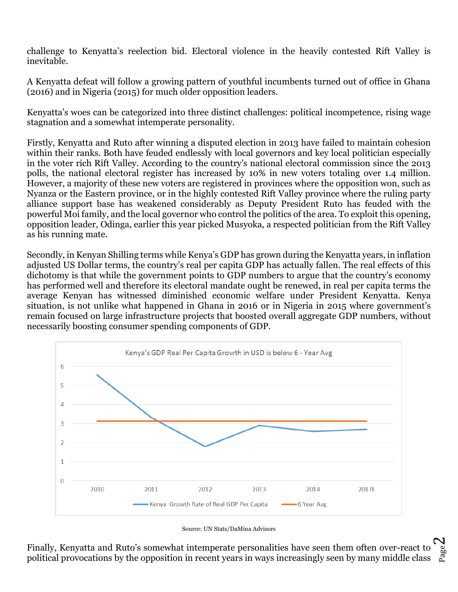challenge to Kenyatta's reelection bid. Electoral violence in the heavily contested Rift Valley is inevitable.

A Kenyatta defeat will follow a growing pattern of youthful incumbents turned out of office in Ghana (2016) and in Nigeria (2015) for much older opposition leaders.

Kenyatta's woes can be categorized into three distinct challenges: political incompetence, rising wage stagnation and a somewhat intemperate personality.

Firstly, Kenyatta and Ruto after winning a disputed election in 2013 have failed to maintain cohesion within their ranks. Both have feuded endlessly with local governors and key local politician especially in the voter rich Rift Valley. According to the country's national electoral commission since the 2013 polls, the national electoral register has increased by 10% in new voters totaling over 1.4 million. However, a majority of these new voters are registered in provinces where the opposition won, such as Nyanza or the Eastern province, or in the highly contested Rift Valley province where the ruling party alliance support base has weakened considerably as Deputy President Ruto has feuded with the powerful Moi family, and the local governor who control the politics of the area. To exploit this opening, opposition leader, Odinga, earlier this year picked Musyoka, a respected politician from the Rift Valley as his running mate.

Secondly, in Kenyan Shilling terms while Kenya's GDP has grown during the Kenyatta years, in inflation adjusted US Dollar terms, the country's real per capita GDP has actually fallen. The real effects of this dichotomy is that while the government points to GDP numbers to argue that the country's economy has performed well and therefore its electoral mandate ought be renewed, in real per capita terms the average Kenyan has witnessed diminished economic welfare under President Kenyatta. Kenya situation, is not unlike what happened in Ghana in 2016 or in Nigeria in 2015 where government's remain focused on large infrastructure projects that boosted overall aggregate GDP numbers, without necessarily boosting consumer spending components of GDP.



Source: UN Stats/DaMina Advisors

Finally, Kenyatta and Ruto's somewhat intemperate personalities have seen them often over-react to was<br>political provocations by the opposition in recent years in ways increasingly seen by many middle class was  $\boldsymbol{\sim}$ Finally, Kenyatta and Ruto's somewhat intemperate personalities have seen them often over-react to